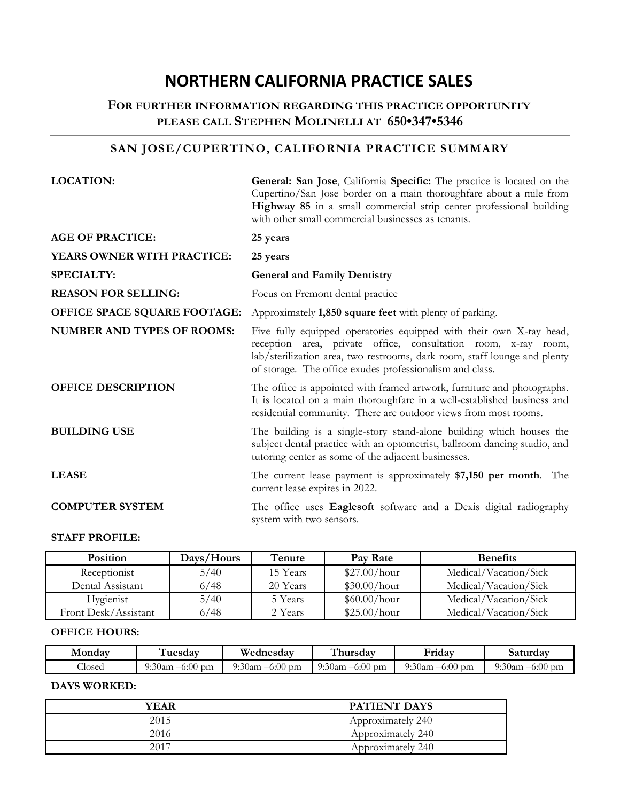# **NORTHERN CALIFORNIA PRACTICE SALES**

# **FOR FURTHER INFORMATION REGARDING THIS PRACTICE OPPORTUNITY PLEASE CALL STEPHEN MOLINELLI AT 650•347•5346**

# **SAN JOSE/CUPERTINO, CALIFORNIA PRACTICE SUMMARY**

| <b>LOCATION:</b>                  | General: San Jose, California Specific: The practice is located on the<br>Cupertino/San Jose border on a main thoroughfare about a mile from<br>Highway 85 in a small commercial strip center professional building<br>with other small commercial businesses as tenants.      |
|-----------------------------------|--------------------------------------------------------------------------------------------------------------------------------------------------------------------------------------------------------------------------------------------------------------------------------|
| <b>AGE OF PRACTICE:</b>           | 25 years                                                                                                                                                                                                                                                                       |
| YEARS OWNER WITH PRACTICE:        | 25 years                                                                                                                                                                                                                                                                       |
| <b>SPECIALTY:</b>                 | <b>General and Family Dentistry</b>                                                                                                                                                                                                                                            |
| <b>REASON FOR SELLING:</b>        | Focus on Fremont dental practice                                                                                                                                                                                                                                               |
| OFFICE SPACE SQUARE FOOTAGE:      | Approximately 1,850 square feet with plenty of parking.                                                                                                                                                                                                                        |
| <b>NUMBER AND TYPES OF ROOMS:</b> | Five fully equipped operatories equipped with their own X-ray head,<br>reception area, private office, consultation room, x-ray room,<br>lab/sterilization area, two restrooms, dark room, staff lounge and plenty<br>of storage. The office exudes professionalism and class. |
| <b>OFFICE DESCRIPTION</b>         | The office is appointed with framed artwork, furniture and photographs.<br>It is located on a main thoroughfare in a well-established business and<br>residential community. There are outdoor views from most rooms.                                                          |
| <b>BUILDING USE</b>               | The building is a single-story stand-alone building which houses the<br>subject dental practice with an optometrist, ballroom dancing studio, and<br>tutoring center as some of the adjacent businesses.                                                                       |
| <b>LEASE</b>                      | The current lease payment is approximately \$7,150 per month. The<br>current lease expires in 2022.                                                                                                                                                                            |
| <b>COMPUTER SYSTEM</b>            | The office uses Eaglesoft software and a Dexis digital radiography<br>system with two sensors.                                                                                                                                                                                 |

### **STAFF PROFILE:**

| <b>Position</b>      | Days/Hours | Tenure   | Pay Rate     | <b>Benefits</b>       |
|----------------------|------------|----------|--------------|-----------------------|
| Receptionist         | 5/40       | 15 Years | \$27.00/hour | Medical/Vacation/Sick |
| Dental Assistant     | 6/48       | 20 Years | \$30.00/hour | Medical/Vacation/Sick |
| Hygienist            | 5/40       | 5 Years  | \$60.00/hour | Medical/Vacation/Sick |
| Front Desk/Assistant | 6/48       | 2 Years  | \$25.00/hour | Medical/Vacation/Sick |

### **OFFICE HOURS:**

| Mondav | uesdav                  | Wednesday            | hursdav              | .<br><b>Friday</b>      | Saturdav             |
|--------|-------------------------|----------------------|----------------------|-------------------------|----------------------|
| Closed | $-6:00$<br>9:30am<br>pm | $-6:00$ pm<br>9:30am | $-6:00$ pm<br>9:30am | $-6:00$<br>9:30am<br>pm | 9:30am<br>$-6:00$ pm |

### **DAYS WORKED:**

| YEAR | <b>PATIENT DAYS</b> |
|------|---------------------|
| 2015 | Approximately 240   |
| 2016 | Approximately 240   |
| 2017 | Approximately 240   |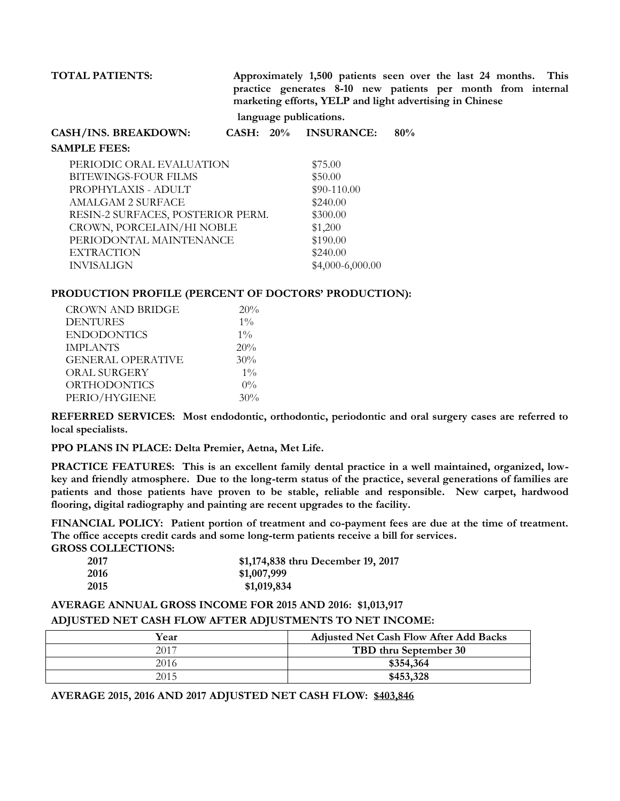**TOTAL PATIENTS: Approximately 1,500 patients seen over the last 24 months. This practice generates 8-10 new patients per month from internal marketing efforts, YELP and light advertising in Chinese** 

 **language publications.**

| CASH/INS. BREAKDOWN:            |  | $CASH: 20\%$ INSURANCE: | 80% |
|---------------------------------|--|-------------------------|-----|
| <b>SAMPLE FEES:</b>             |  |                         |     |
| PERIODIC ORAL EVALUATION        |  | \$75.00                 |     |
| BITEWINGS-FOUR FILMS            |  | \$50.00                 |     |
| PROPHYLAXIS - ADULT             |  | $$90-110.00$            |     |
| AMALGAM 2 SURFACE               |  | \$240.00                |     |
| RESIN 2 SUREACES DOSTERIOR DERM |  | \$300.00                |     |

# RESIN-2 SURFACES, POSTERIOR PERM. \$300.00 CROWN, PORCELAIN/HI NOBLE \$1,200 PERIODONTAL MAINTENANCE \$190.00 EXTRACTION \$240.00 INVISALIGN \$4,000-6,000.00

### **PRODUCTION PROFILE (PERCENT OF DOCTORS' PRODUCTION):**

| <b>CROWN AND BRIDGE</b>  | 20%   |  |
|--------------------------|-------|--|
| <b>DENTURES</b>          | $1\%$ |  |
| <b>ENDODONTICS</b>       | $1\%$ |  |
| <b>IMPLANTS</b>          | 20%   |  |
| <b>GENERAL OPERATIVE</b> | 30%   |  |
| ORAL SURGERY             | $1\%$ |  |
| <b>ORTHODONTICS</b>      | $0\%$ |  |
| PERIO/HYGIENE            | 30%   |  |

**REFERRED SERVICES: Most endodontic, orthodontic, periodontic and oral surgery cases are referred to local specialists.** 

**PPO PLANS IN PLACE: Delta Premier, Aetna, Met Life.**

**PRACTICE FEATURES: This is an excellent family dental practice in a well maintained, organized, lowkey and friendly atmosphere. Due to the long-term status of the practice, several generations of families are patients and those patients have proven to be stable, reliable and responsible. New carpet, hardwood flooring, digital radiography and painting are recent upgrades to the facility.**

**FINANCIAL POLICY: Patient portion of treatment and co-payment fees are due at the time of treatment. The office accepts credit cards and some long-term patients receive a bill for services.**

**GROSS COLLECTIONS:**

| 2017 | \$1,174,838 thru December 19, 2017 |
|------|------------------------------------|
| 2016 | \$1,007,999                        |
| 2015 | \$1,019,834                        |

### **AVERAGE ANNUAL GROSS INCOME FOR 2015 AND 2016: \$1,013,917**

### **ADJUSTED NET CASH FLOW AFTER ADJUSTMENTS TO NET INCOME:**

| Year | <b>Adjusted Net Cash Flow After Add Backs</b> |
|------|-----------------------------------------------|
| 2017 | TBD thru September 30                         |
| 2016 | \$354,364                                     |
| 2015 | \$453,328                                     |

**AVERAGE 2015, 2016 AND 2017 ADJUSTED NET CASH FLOW: \$403,846**